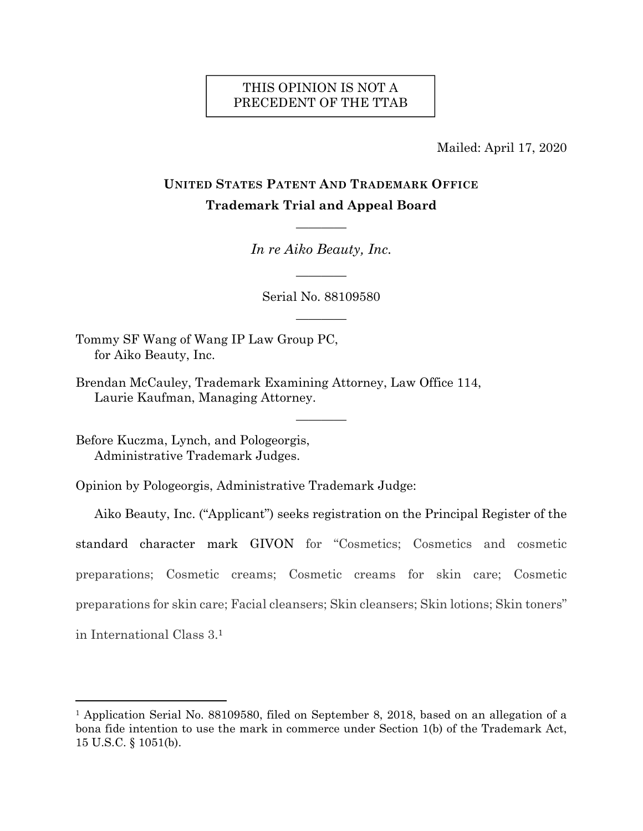# THIS OPINION IS NOT A PRECEDENT OF THE TTAB

Mailed: April 17, 2020

# **UNITED STATES PATENT AND TRADEMARK OFFICE Trademark Trial and Appeal Board**

*In re Aiko Beauty, Inc.*

————

————

Serial No. 88109580

————

————

Tommy SF Wang of Wang IP Law Group PC, for Aiko Beauty, Inc.

Brendan McCauley, Trademark Examining Attorney, Law Office 114, Laurie Kaufman, Managing Attorney.

Before Kuczma, Lynch, and Pologeorgis, Administrative Trademark Judges.

 $\overline{a}$ 

Opinion by Pologeorgis, Administrative Trademark Judge:

Aiko Beauty, Inc. ("Applicant") seeks registration on the Principal Register of the standard character mark GIVON for "Cosmetics; Cosmetics and cosmetic preparations; Cosmetic creams; Cosmetic creams for skin care; Cosmetic preparations for skin care; Facial cleansers; Skin cleansers; Skin lotions; Skin toners" in International Class 3.1

<sup>1</sup> Application Serial No. 88109580, filed on September 8, 2018, based on an allegation of a bona fide intention to use the mark in commerce under Section 1(b) of the Trademark Act, 15 U.S.C. § 1051(b).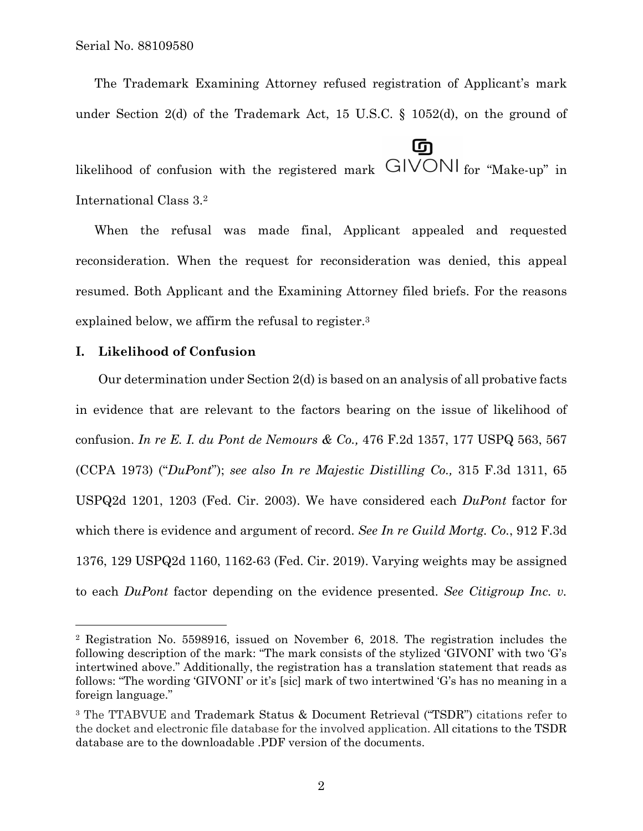The Trademark Examining Attorney refused registration of Applicant's mark under Section 2(d) of the Trademark Act, 15 U.S.C. § 1052(d), on the ground of

டு likelihood of confusion with the registered mark  $GIVONI$  for "Make-up" in International Class 3.2

When the refusal was made final, Applicant appealed and requested reconsideration. When the request for reconsideration was denied, this appeal resumed. Both Applicant and the Examining Attorney filed briefs. For the reasons explained below, we affirm the refusal to register.3

## **I. Likelihood of Confusion**

1

Our determination under Section 2(d) is based on an analysis of all probative facts in evidence that are relevant to the factors bearing on the issue of likelihood of confusion. *In re E. I. du Pont de Nemours & Co.,* 476 F.2d 1357, 177 USPQ 563, 567 (CCPA 1973) ("*DuPont*"); *see also In re Majestic Distilling Co.,* 315 F.3d 1311, 65 USPQ2d 1201, 1203 (Fed. Cir. 2003). We have considered each *DuPont* factor for which there is evidence and argument of record. *See In re Guild Mortg. Co.*, 912 F.3d 1376, 129 USPQ2d 1160, 1162-63 (Fed. Cir. 2019). Varying weights may be assigned to each *DuPont* factor depending on the evidence presented. *See Citigroup Inc. v.* 

<sup>2</sup> Registration No. 5598916, issued on November 6, 2018. The registration includes the following description of the mark: "The mark consists of the stylized 'GIVONI' with two 'G's intertwined above." Additionally, the registration has a translation statement that reads as follows: "The wording 'GIVONI' or it's [sic] mark of two intertwined 'G's has no meaning in a foreign language."

<sup>3</sup> The TTABVUE and Trademark Status & Document Retrieval ("TSDR") citations refer to the docket and electronic file database for the involved application. All citations to the TSDR database are to the downloadable .PDF version of the documents.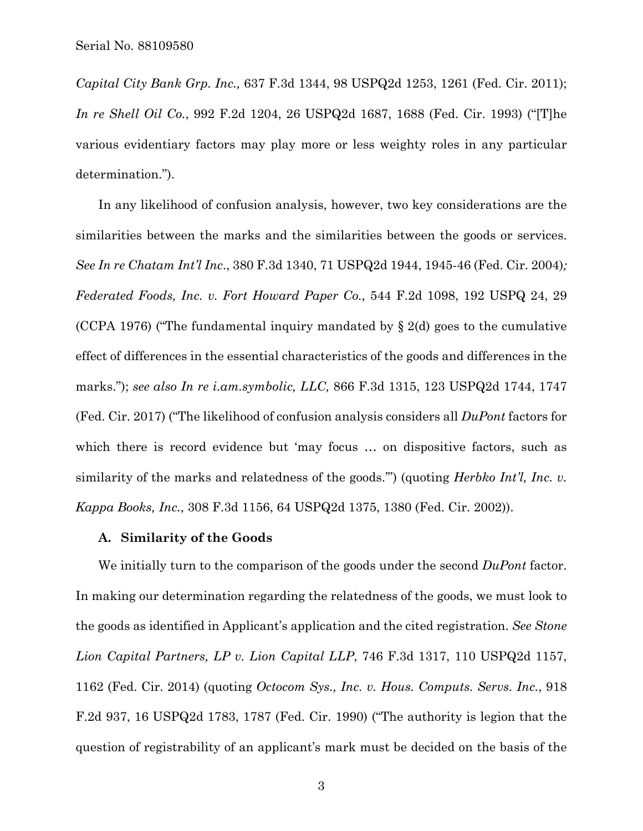*Capital City Bank Grp. Inc.,* 637 F.3d 1344, 98 USPQ2d 1253, 1261 (Fed. Cir. 2011); *In re Shell Oil Co.*, 992 F.2d 1204, 26 USPQ2d 1687, 1688 (Fed. Cir. 1993) ("[T]he various evidentiary factors may play more or less weighty roles in any particular determination.").

In any likelihood of confusion analysis, however, two key considerations are the similarities between the marks and the similarities between the goods or services. *See In re Chatam Int'l Inc*., 380 F.3d 1340, 71 USPQ2d 1944, 1945-46 (Fed. Cir. 2004)*; Federated Foods, Inc. v. Fort Howard Paper Co.,* 544 F.2d 1098, 192 USPQ 24, 29 (CCPA 1976) ("The fundamental inquiry mandated by  $\S 2(d)$  goes to the cumulative effect of differences in the essential characteristics of the goods and differences in the marks."); *see also In re i.am.symbolic, LLC,* 866 F.3d 1315, 123 USPQ2d 1744, 1747 (Fed. Cir. 2017) ("The likelihood of confusion analysis considers all *DuPont* factors for which there is record evidence but 'may focus ... on dispositive factors, such as similarity of the marks and relatedness of the goods.'") (quoting *Herbko Int'l, Inc. v. Kappa Books, Inc.*, 308 F.3d 1156, 64 USPQ2d 1375, 1380 (Fed. Cir. 2002)).

### **A. Similarity of the Goods**

We initially turn to the comparison of the goods under the second *DuPont* factor. In making our determination regarding the relatedness of the goods, we must look to the goods as identified in Applicant's application and the cited registration. *See Stone Lion Capital Partners, LP v. Lion Capital LLP*, 746 F.3d 1317, 110 USPQ2d 1157, 1162 (Fed. Cir. 2014) (quoting *Octocom Sys., Inc. v. Hous. Computs. Servs. Inc.*, 918 F.2d 937, 16 USPQ2d 1783, 1787 (Fed. Cir. 1990) ("The authority is legion that the question of registrability of an applicant's mark must be decided on the basis of the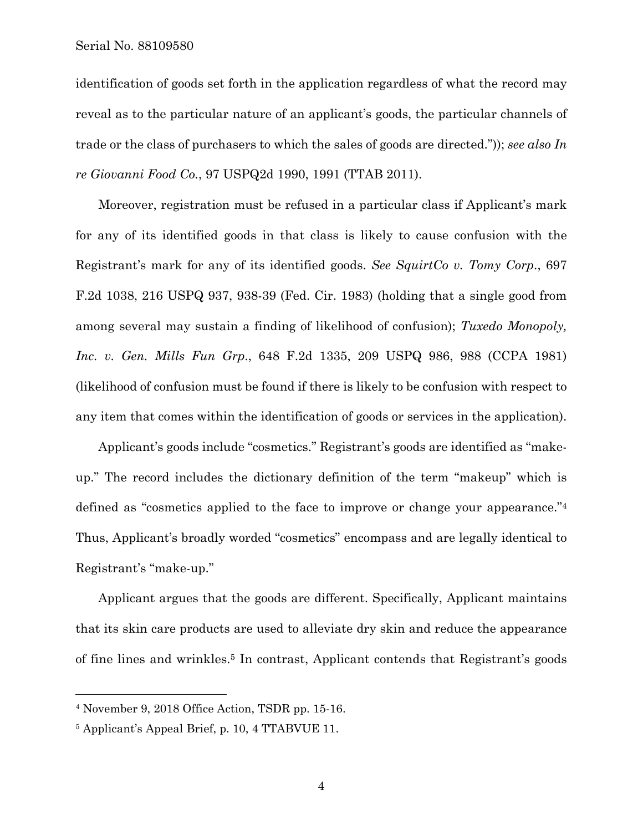Serial No. 88109580

identification of goods set forth in the application regardless of what the record may reveal as to the particular nature of an applicant's goods, the particular channels of trade or the class of purchasers to which the sales of goods are directed.")); *see also In re Giovanni Food Co.*, 97 USPQ2d 1990, 1991 (TTAB 2011).

Moreover, registration must be refused in a particular class if Applicant's mark for any of its identified goods in that class is likely to cause confusion with the Registrant's mark for any of its identified goods. *See SquirtCo v. Tomy Corp*., 697 F.2d 1038, 216 USPQ 937, 938-39 (Fed. Cir. 1983) (holding that a single good from among several may sustain a finding of likelihood of confusion); *Tuxedo Monopoly, Inc. v. Gen. Mills Fun Grp*., 648 F.2d 1335, 209 USPQ 986, 988 (CCPA 1981) (likelihood of confusion must be found if there is likely to be confusion with respect to any item that comes within the identification of goods or services in the application).

Applicant's goods include "cosmetics." Registrant's goods are identified as "makeup." The record includes the dictionary definition of the term "makeup" which is defined as "cosmetics applied to the face to improve or change your appearance."4 Thus, Applicant's broadly worded "cosmetics" encompass and are legally identical to Registrant's "make-up."

Applicant argues that the goods are different. Specifically, Applicant maintains that its skin care products are used to alleviate dry skin and reduce the appearance of fine lines and wrinkles.5 In contrast, Applicant contends that Registrant's goods

<sup>4</sup> November 9, 2018 Office Action, TSDR pp. 15-16.

<sup>5</sup> Applicant's Appeal Brief, p. 10, 4 TTABVUE 11.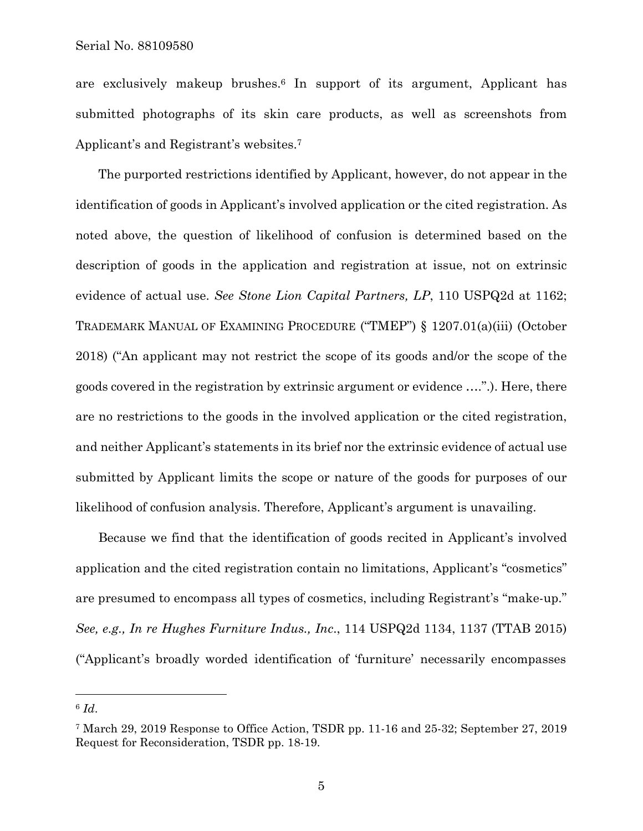Serial No. 88109580

are exclusively makeup brushes.6 In support of its argument, Applicant has submitted photographs of its skin care products, as well as screenshots from Applicant's and Registrant's websites.7

The purported restrictions identified by Applicant, however, do not appear in the identification of goods in Applicant's involved application or the cited registration. As noted above, the question of likelihood of confusion is determined based on the description of goods in the application and registration at issue, not on extrinsic evidence of actual use. *See Stone Lion Capital Partners, LP*, 110 USPQ2d at 1162; TRADEMARK MANUAL OF EXAMINING PROCEDURE ("TMEP") § 1207.01(a)(iii) (October 2018) ("An applicant may not restrict the scope of its goods and/or the scope of the goods covered in the registration by extrinsic argument or evidence ….".). Here, there are no restrictions to the goods in the involved application or the cited registration, and neither Applicant's statements in its brief nor the extrinsic evidence of actual use submitted by Applicant limits the scope or nature of the goods for purposes of our likelihood of confusion analysis. Therefore, Applicant's argument is unavailing.

Because we find that the identification of goods recited in Applicant's involved application and the cited registration contain no limitations, Applicant's "cosmetics" are presumed to encompass all types of cosmetics, including Registrant's "make-up." *See, e.g., In re Hughes Furniture Indus., Inc*., 114 USPQ2d 1134, 1137 (TTAB 2015) ("Applicant's broadly worded identification of 'furniture' necessarily encompasses

 $6$   $Id.$ 

<sup>7</sup> March 29, 2019 Response to Office Action, TSDR pp. 11-16 and 25-32; September 27, 2019 Request for Reconsideration, TSDR pp. 18-19.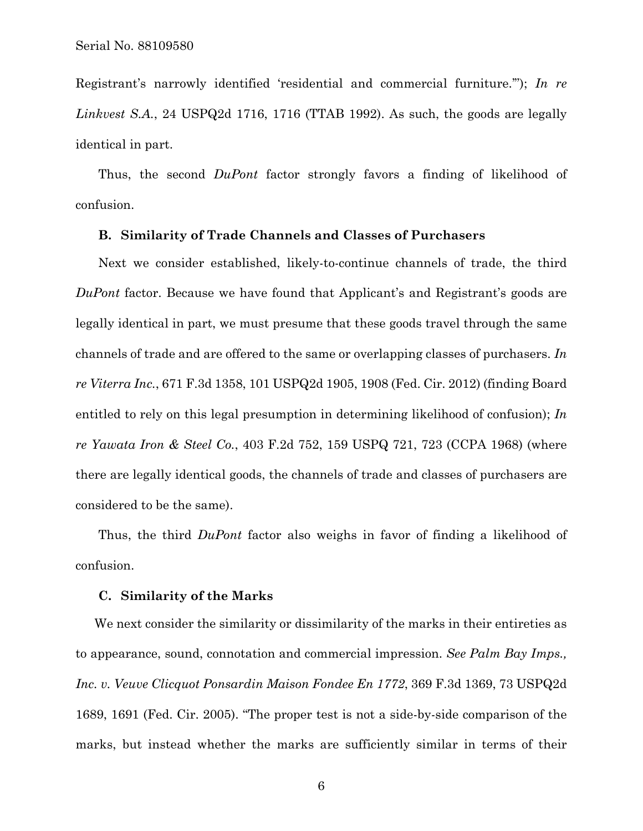Registrant's narrowly identified 'residential and commercial furniture.'"); *In re Linkvest S.A.*, 24 USPQ2d 1716, 1716 (TTAB 1992). As such, the goods are legally identical in part.

Thus, the second *DuPont* factor strongly favors a finding of likelihood of confusion.

# **B. Similarity of Trade Channels and Classes of Purchasers**

Next we consider established, likely-to-continue channels of trade, the third *DuPont* factor. Because we have found that Applicant's and Registrant's goods are legally identical in part, we must presume that these goods travel through the same channels of trade and are offered to the same or overlapping classes of purchasers. *In re Viterra Inc.*, 671 F.3d 1358, 101 USPQ2d 1905, 1908 (Fed. Cir. 2012) (finding Board entitled to rely on this legal presumption in determining likelihood of confusion); *In re Yawata Iron & Steel Co.*, 403 F.2d 752, 159 USPQ 721, 723 (CCPA 1968) (where there are legally identical goods, the channels of trade and classes of purchasers are considered to be the same).

Thus, the third *DuPont* factor also weighs in favor of finding a likelihood of confusion.

#### **C. Similarity of the Marks**

We next consider the similarity or dissimilarity of the marks in their entireties as to appearance, sound, connotation and commercial impression. *See Palm Bay Imps., Inc. v. Veuve Clicquot Ponsardin Maison Fondee En 1772*, 369 F.3d 1369, 73 USPQ2d 1689, 1691 (Fed. Cir. 2005). "The proper test is not a side-by-side comparison of the marks, but instead whether the marks are sufficiently similar in terms of their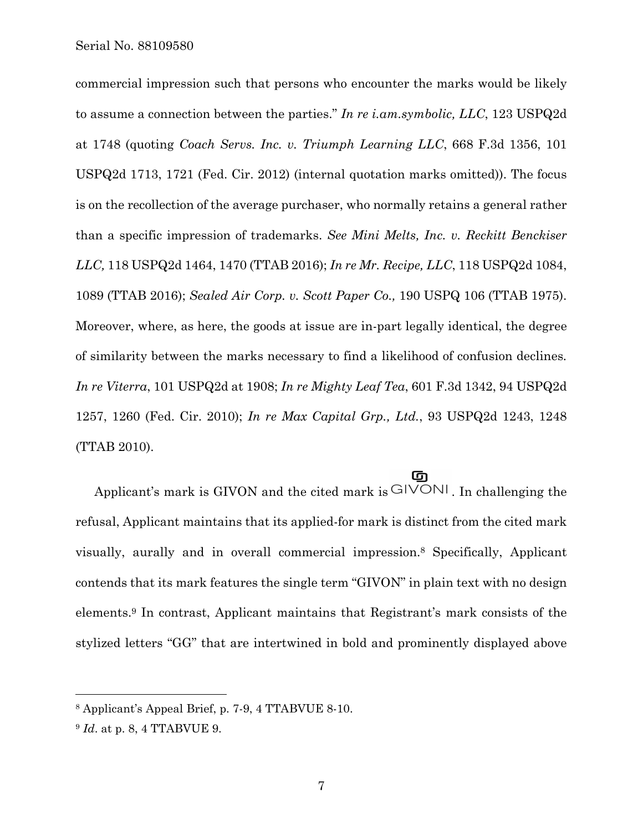Serial No. 88109580

commercial impression such that persons who encounter the marks would be likely to assume a connection between the parties." *In re i.am.symbolic, LLC*, 123 USPQ2d at 1748 (quoting *Coach Servs. Inc. v. Triumph Learning LLC*, 668 F.3d 1356, 101 USPQ2d 1713, 1721 (Fed. Cir. 2012) (internal quotation marks omitted)). The focus is on the recollection of the average purchaser, who normally retains a general rather than a specific impression of trademarks. *See Mini Melts, Inc. v. Reckitt Benckiser LLC,* 118 USPQ2d 1464, 1470 (TTAB 2016); *In re Mr. Recipe, LLC*, 118 USPQ2d 1084, 1089 (TTAB 2016); *Sealed Air Corp. v. Scott Paper Co.,* 190 USPQ 106 (TTAB 1975). Moreover, where, as here, the goods at issue are in-part legally identical, the degree of similarity between the marks necessary to find a likelihood of confusion declines*. In re Viterra*, 101 USPQ2d at 1908; *In re Mighty Leaf Tea*, 601 F.3d 1342, 94 USPQ2d 1257, 1260 (Fed. Cir. 2010); *In re Max Capital Grp., Ltd.*, 93 USPQ2d 1243, 1248 (TTAB 2010).

### <u>ග</u>

Applicant's mark is GIVON and the cited mark is  $GIVON!$ . In challenging the refusal, Applicant maintains that its applied-for mark is distinct from the cited mark visually, aurally and in overall commercial impression.8 Specifically, Applicant contends that its mark features the single term "GIVON" in plain text with no design elements.9 In contrast, Applicant maintains that Registrant's mark consists of the stylized letters "GG" that are intertwined in bold and prominently displayed above

 $\overline{a}$ 

<sup>8</sup> Applicant's Appeal Brief, p. 7-9, 4 TTABVUE 8-10.

<sup>9</sup> *Id*. at p. 8, 4 TTABVUE 9.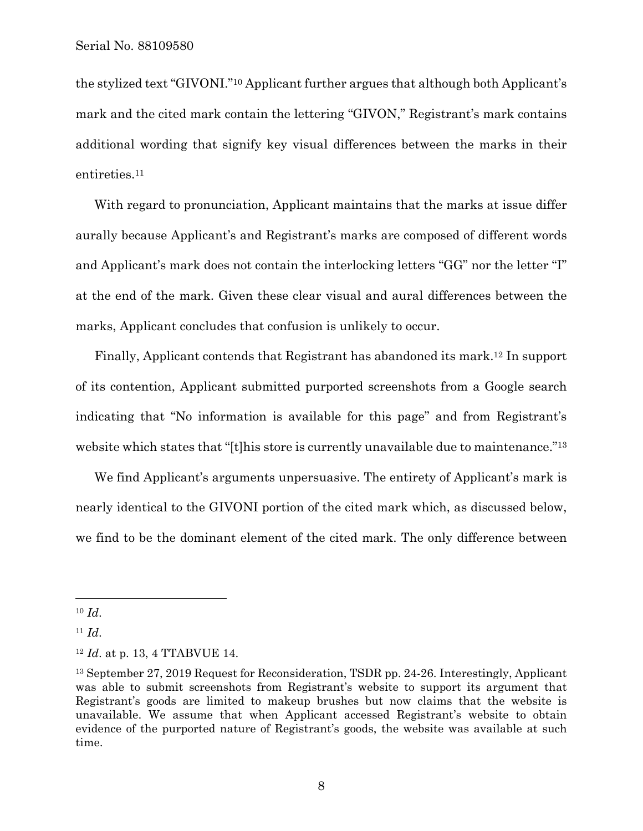the stylized text "GIVONI."10 Applicant further argues that although both Applicant's mark and the cited mark contain the lettering "GIVON," Registrant's mark contains additional wording that signify key visual differences between the marks in their entireties.11

With regard to pronunciation, Applicant maintains that the marks at issue differ aurally because Applicant's and Registrant's marks are composed of different words and Applicant's mark does not contain the interlocking letters "GG" nor the letter "I" at the end of the mark. Given these clear visual and aural differences between the marks, Applicant concludes that confusion is unlikely to occur.

Finally, Applicant contends that Registrant has abandoned its mark.12 In support of its contention, Applicant submitted purported screenshots from a Google search indicating that "No information is available for this page" and from Registrant's website which states that "[t]his store is currently unavailable due to maintenance."<sup>13</sup>

We find Applicant's arguments unpersuasive. The entirety of Applicant's mark is nearly identical to the GIVONI portion of the cited mark which, as discussed below, we find to be the dominant element of the cited mark. The only difference between

<sup>10</sup> *Id*.

<sup>11</sup> *Id*.

<sup>12</sup> *Id*. at p. 13, 4 TTABVUE 14.

<sup>13</sup> September 27, 2019 Request for Reconsideration, TSDR pp. 24-26. Interestingly, Applicant was able to submit screenshots from Registrant's website to support its argument that Registrant's goods are limited to makeup brushes but now claims that the website is unavailable. We assume that when Applicant accessed Registrant's website to obtain evidence of the purported nature of Registrant's goods, the website was available at such time.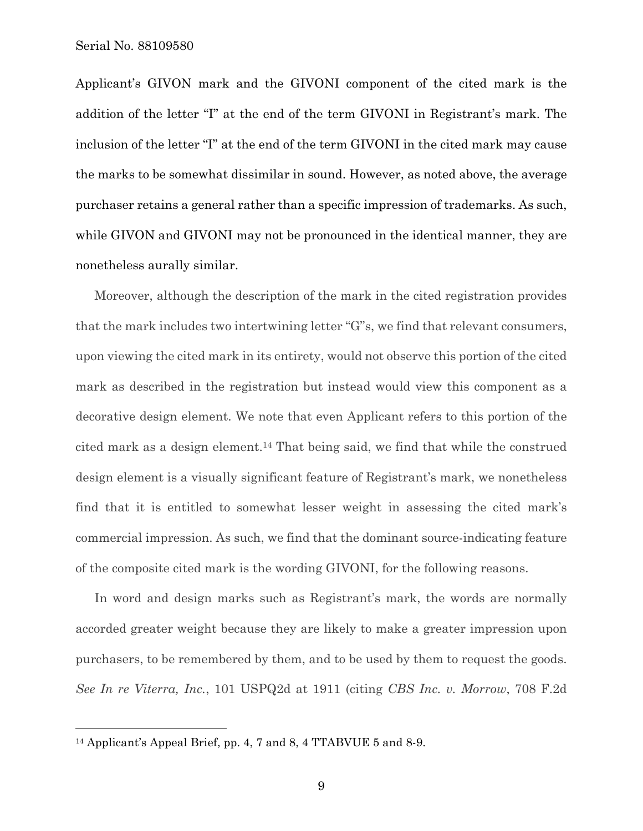Applicant's GIVON mark and the GIVONI component of the cited mark is the addition of the letter "I" at the end of the term GIVONI in Registrant's mark. The inclusion of the letter "I" at the end of the term GIVONI in the cited mark may cause the marks to be somewhat dissimilar in sound. However, as noted above, the average purchaser retains a general rather than a specific impression of trademarks. As such, while GIVON and GIVONI may not be pronounced in the identical manner, they are nonetheless aurally similar.

Moreover, although the description of the mark in the cited registration provides that the mark includes two intertwining letter "G"s, we find that relevant consumers, upon viewing the cited mark in its entirety, would not observe this portion of the cited mark as described in the registration but instead would view this component as a decorative design element. We note that even Applicant refers to this portion of the cited mark as a design element.14 That being said, we find that while the construed design element is a visually significant feature of Registrant's mark, we nonetheless find that it is entitled to somewhat lesser weight in assessing the cited mark's commercial impression. As such, we find that the dominant source-indicating feature of the composite cited mark is the wording GIVONI, for the following reasons.

In word and design marks such as Registrant's mark, the words are normally accorded greater weight because they are likely to make a greater impression upon purchasers, to be remembered by them, and to be used by them to request the goods. *See In re Viterra, Inc.*, 101 USPQ2d at 1911 (citing *CBS Inc. v. Morrow*, 708 F.2d

 $\overline{a}$ 

<sup>14</sup> Applicant's Appeal Brief, pp. 4, 7 and 8, 4 TTABVUE 5 and 8-9.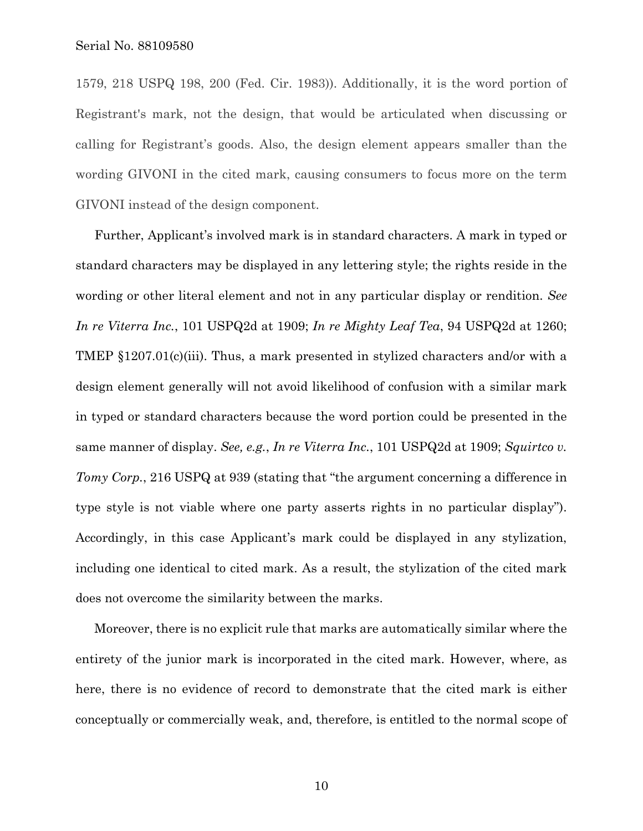1579, 218 USPQ 198, 200 (Fed. Cir. 1983)). Additionally, it is the word portion of Registrant's mark, not the design, that would be articulated when discussing or calling for Registrant's goods. Also, the design element appears smaller than the wording GIVONI in the cited mark, causing consumers to focus more on the term GIVONI instead of the design component.

Further, Applicant's involved mark is in standard characters. A mark in typed or standard characters may be displayed in any lettering style; the rights reside in the wording or other literal element and not in any particular display or rendition. *See In re Viterra Inc.*, 101 USPQ2d at 1909; *In re Mighty Leaf Tea*, 94 USPQ2d at 1260; TMEP §1207.01(c)(iii). Thus, a mark presented in stylized characters and/or with a design element generally will not avoid likelihood of confusion with a similar mark in typed or standard characters because the word portion could be presented in the same manner of display. *See, e.g.*, *In re Viterra Inc.*, 101 USPQ2d at 1909; *Squirtco v. Tomy Corp.*, 216 USPQ at 939 (stating that "the argument concerning a difference in type style is not viable where one party asserts rights in no particular display"). Accordingly, in this case Applicant's mark could be displayed in any stylization, including one identical to cited mark. As a result, the stylization of the cited mark does not overcome the similarity between the marks.

Moreover, there is no explicit rule that marks are automatically similar where the entirety of the junior mark is incorporated in the cited mark. However, where, as here, there is no evidence of record to demonstrate that the cited mark is either conceptually or commercially weak, and, therefore, is entitled to the normal scope of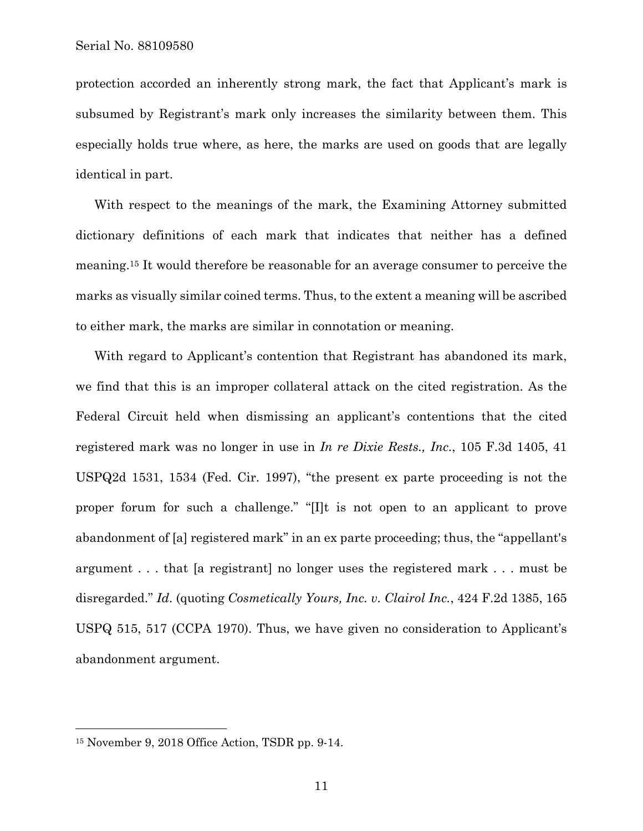protection accorded an inherently strong mark, the fact that Applicant's mark is subsumed by Registrant's mark only increases the similarity between them. This especially holds true where, as here, the marks are used on goods that are legally identical in part.

With respect to the meanings of the mark, the Examining Attorney submitted dictionary definitions of each mark that indicates that neither has a defined meaning.15 It would therefore be reasonable for an average consumer to perceive the marks as visually similar coined terms. Thus, to the extent a meaning will be ascribed to either mark, the marks are similar in connotation or meaning.

With regard to Applicant's contention that Registrant has abandoned its mark, we find that this is an improper collateral attack on the cited registration. As the Federal Circuit held when dismissing an applicant's contentions that the cited registered mark was no longer in use in *In re Dixie Rests., Inc.*, 105 F.3d 1405, 41 USPQ2d 1531, 1534 (Fed. Cir. 1997), "the present ex parte proceeding is not the proper forum for such a challenge." "[I]t is not open to an applicant to prove abandonment of [a] registered mark" in an ex parte proceeding; thus, the "appellant's argument . . . that [a registrant] no longer uses the registered mark . . . must be disregarded." *Id*. (quoting *Cosmetically Yours, Inc. v. Clairol Inc.*, 424 F.2d 1385, 165 USPQ 515, 517 (CCPA 1970). Thus, we have given no consideration to Applicant's abandonment argument.

 $\overline{a}$ 

<sup>15</sup> November 9, 2018 Office Action, TSDR pp. 9-14.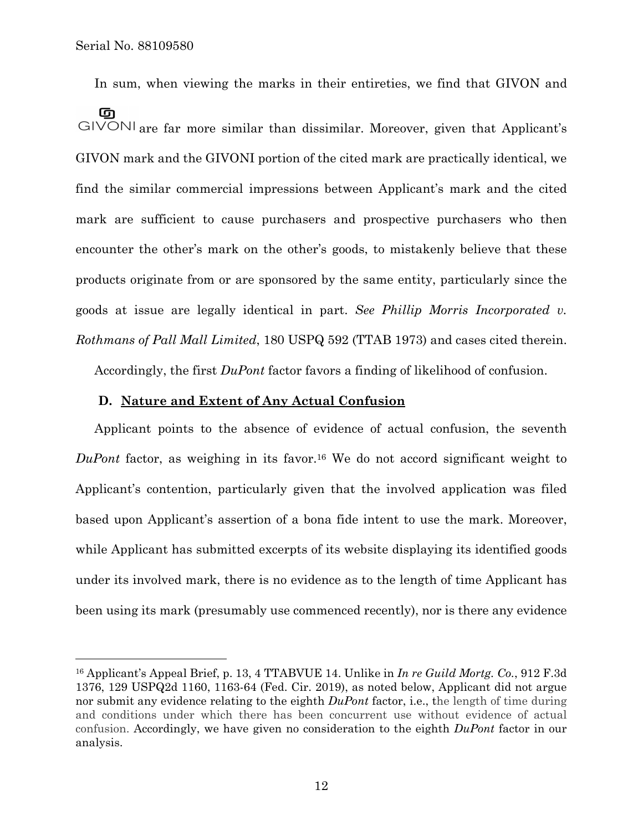$\overline{a}$ 

In sum, when viewing the marks in their entireties, we find that GIVON and

ចា GIVONI are far more similar than dissimilar. Moreover, given that Applicant's GIVON mark and the GIVONI portion of the cited mark are practically identical, we find the similar commercial impressions between Applicant's mark and the cited mark are sufficient to cause purchasers and prospective purchasers who then encounter the other's mark on the other's goods, to mistakenly believe that these products originate from or are sponsored by the same entity, particularly since the goods at issue are legally identical in part. *See Phillip Morris Incorporated v. Rothmans of Pall Mall Limited*, 180 USPQ 592 (TTAB 1973) and cases cited therein.

Accordingly, the first *DuPont* factor favors a finding of likelihood of confusion.

## **D. Nature and Extent of Any Actual Confusion**

Applicant points to the absence of evidence of actual confusion, the seventh *DuPont* factor, as weighing in its favor.16 We do not accord significant weight to Applicant's contention, particularly given that the involved application was filed based upon Applicant's assertion of a bona fide intent to use the mark. Moreover, while Applicant has submitted excerpts of its website displaying its identified goods under its involved mark, there is no evidence as to the length of time Applicant has been using its mark (presumably use commenced recently), nor is there any evidence

<sup>16</sup> Applicant's Appeal Brief, p. 13, 4 TTABVUE 14. Unlike in *In re Guild Mortg. Co.*, 912 F.3d 1376, 129 USPQ2d 1160, 1163-64 (Fed. Cir. 2019), as noted below, Applicant did not argue nor submit any evidence relating to the eighth *DuPont* factor, i.e., the length of time during and conditions under which there has been concurrent use without evidence of actual confusion. Accordingly, we have given no consideration to the eighth *DuPont* factor in our analysis.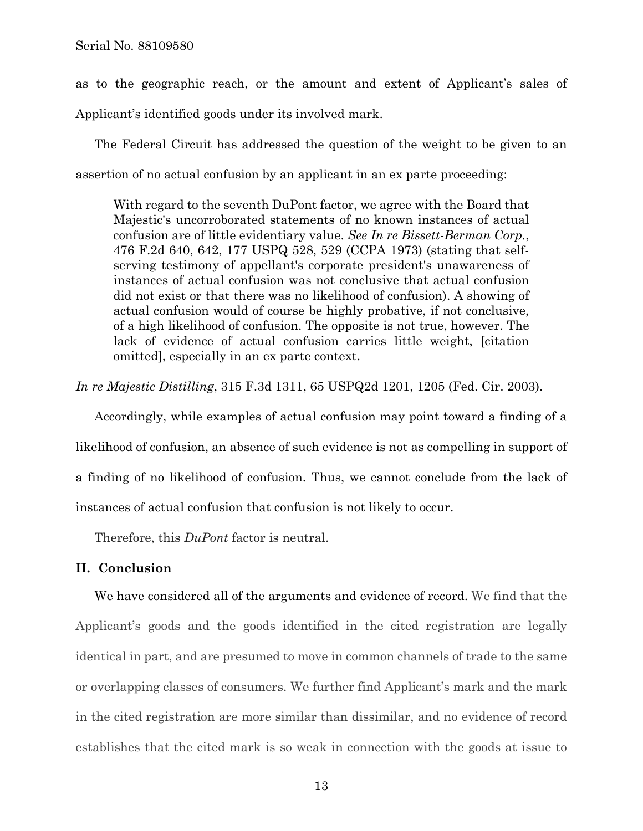as to the geographic reach, or the amount and extent of Applicant's sales of Applicant's identified goods under its involved mark.

The Federal Circuit has addressed the question of the weight to be given to an assertion of no actual confusion by an applicant in an ex parte proceeding:

With regard to the seventh DuPont factor, we agree with the Board that Majestic's uncorroborated statements of no known instances of actual confusion are of little evidentiary value. *See In re Bissett-Berman Corp.*, 476 F.2d 640, 642, 177 USPQ 528, 529 (CCPA 1973) (stating that selfserving testimony of appellant's corporate president's unawareness of instances of actual confusion was not conclusive that actual confusion did not exist or that there was no likelihood of confusion). A showing of actual confusion would of course be highly probative, if not conclusive, of a high likelihood of confusion. The opposite is not true, however. The lack of evidence of actual confusion carries little weight, [citation omitted], especially in an ex parte context.

*In re Majestic Distilling*, 315 F.3d 1311, 65 USPQ2d 1201, 1205 (Fed. Cir. 2003).

Accordingly, while examples of actual confusion may point toward a finding of a likelihood of confusion, an absence of such evidence is not as compelling in support of a finding of no likelihood of confusion. Thus, we cannot conclude from the lack of instances of actual confusion that confusion is not likely to occur.

Therefore, this *DuPont* factor is neutral.

## **II. Conclusion**

We have considered all of the arguments and evidence of record. We find that the Applicant's goods and the goods identified in the cited registration are legally identical in part, and are presumed to move in common channels of trade to the same or overlapping classes of consumers. We further find Applicant's mark and the mark in the cited registration are more similar than dissimilar, and no evidence of record establishes that the cited mark is so weak in connection with the goods at issue to